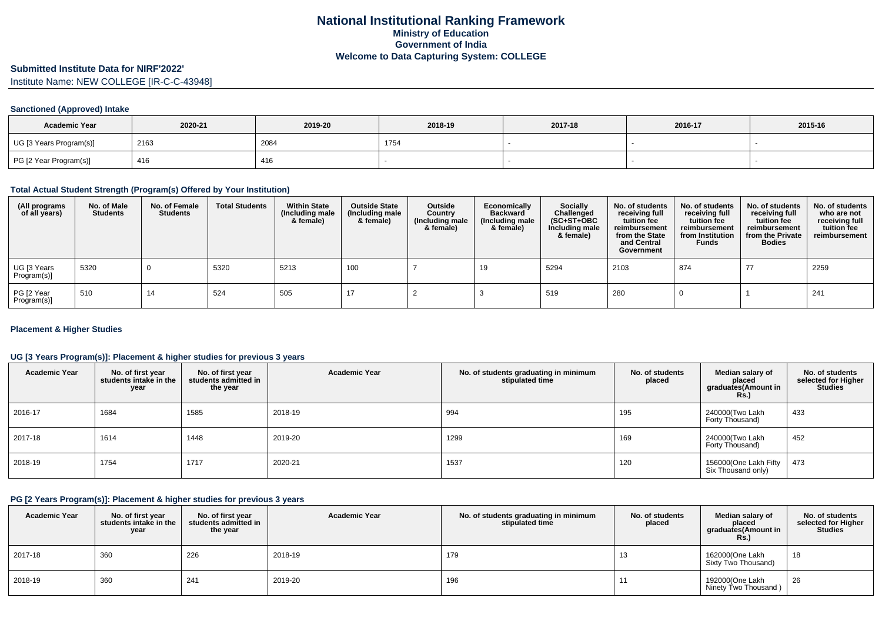# **Submitted Institute Data for NIRF'2022'**

Institute Name: NEW COLLEGE [IR-C-C-43948]

# **Sanctioned (Approved) Intake**

| <b>Academic Year</b>    | 2020-21 | 2019-20 | 2018-19 | 2017-18 | 2016-17 | 2015-16 |
|-------------------------|---------|---------|---------|---------|---------|---------|
| UG [3 Years Program(s)] | 2163    | 2084    | 1754    |         |         |         |
| PG [2 Year Program(s)]  | 416     | 416     |         |         |         |         |

# **Total Actual Student Strength (Program(s) Offered by Your Institution)**

| (All programs<br>of all years) | No. of Male<br><b>Students</b> | No. of Female<br>Students | <b>Total Students</b> | <b>Within State</b><br>(Including male<br>& female) | <b>Outside State</b><br>(Including male<br>& female) | Outside<br>Country<br>(Including male<br>& female) | Economically<br><b>Backward</b><br>(Including male<br>& female) | Socially<br>Challenged<br>$(SC+ST+OBC)$<br>Including male<br>& female) | No. of students<br>receiving full<br>tuition fee<br>reimbursement<br>from the State<br>and Central<br>Government | No. of students<br>receiving full<br>tuition fee<br>reimbursement<br>from Institution<br><b>Funds</b> | No. of students<br>receiving full<br>tuition fee<br>reimbursement<br>from the Private<br><b>Bodies</b> | No. of students<br>who are not<br>receiving full<br>tuition fee<br>reimbursement |
|--------------------------------|--------------------------------|---------------------------|-----------------------|-----------------------------------------------------|------------------------------------------------------|----------------------------------------------------|-----------------------------------------------------------------|------------------------------------------------------------------------|------------------------------------------------------------------------------------------------------------------|-------------------------------------------------------------------------------------------------------|--------------------------------------------------------------------------------------------------------|----------------------------------------------------------------------------------|
| UG [3 Years<br>Program(s)]     | 5320                           |                           | 5320                  | 5213                                                | 100                                                  |                                                    | 19                                                              | 5294                                                                   | 2103                                                                                                             | 874                                                                                                   | 77                                                                                                     | 2259                                                                             |
| PG [2 Year<br>Program(s)]      | 510                            | 14                        | 524                   | 505                                                 |                                                      |                                                    |                                                                 | 519                                                                    | 280                                                                                                              |                                                                                                       |                                                                                                        | 241                                                                              |

# **Placement & Higher Studies**

# **UG [3 Years Program(s)]: Placement & higher studies for previous 3 years**

| <b>Academic Year</b> | No. of first year<br>students intake in the<br>year | No. of first year<br>students admitted in<br>the year | <b>Academic Year</b> | No. of students graduating in minimum<br>stipulated time | No. of students<br>placed | Median salary of<br>placed<br>graduates(Amount in<br><b>Rs.)</b> | No. of students<br>selected for Higher<br><b>Studies</b> |
|----------------------|-----------------------------------------------------|-------------------------------------------------------|----------------------|----------------------------------------------------------|---------------------------|------------------------------------------------------------------|----------------------------------------------------------|
| 2016-17              | 1684                                                | 1585                                                  | 2018-19              | 994                                                      | 195                       | 240000(Two Lakh<br>Forty Thousand)                               | 433                                                      |
| 2017-18              | 1614                                                | 1448                                                  | 2019-20              | 1299                                                     | 169                       | 240000(Two Lakh<br>Forty Thousand)                               | 452                                                      |
| 2018-19              | 1754                                                | 1717                                                  | 2020-21              | 1537                                                     | 120                       | 156000(One Lakh Fifty<br>Six Thousand only)                      | 473                                                      |

#### **PG [2 Years Program(s)]: Placement & higher studies for previous 3 years**

| <b>Academic Year</b> | No. of first year<br>students intake in the<br>year | No. of first year<br>students admitted in<br>the year | <b>Academic Year</b> | No. of students graduating in minimum<br>stipulated time | No. of students<br>placed | Median salary of<br>placed<br>graduates(Amount in<br><b>Rs.)</b> | No. of students<br>selected for Higher<br><b>Studies</b> |
|----------------------|-----------------------------------------------------|-------------------------------------------------------|----------------------|----------------------------------------------------------|---------------------------|------------------------------------------------------------------|----------------------------------------------------------|
| 2017-18              | 360                                                 | 226                                                   | 2018-19              | 179                                                      | 13                        | 162000(One Lakh<br>Sixty Two Thousand)                           | 18                                                       |
| 2018-19              | 360                                                 | 241                                                   | 2019-20              | 196                                                      |                           | 192000(One Lakh<br>Ninety Two Thousand)                          | 26                                                       |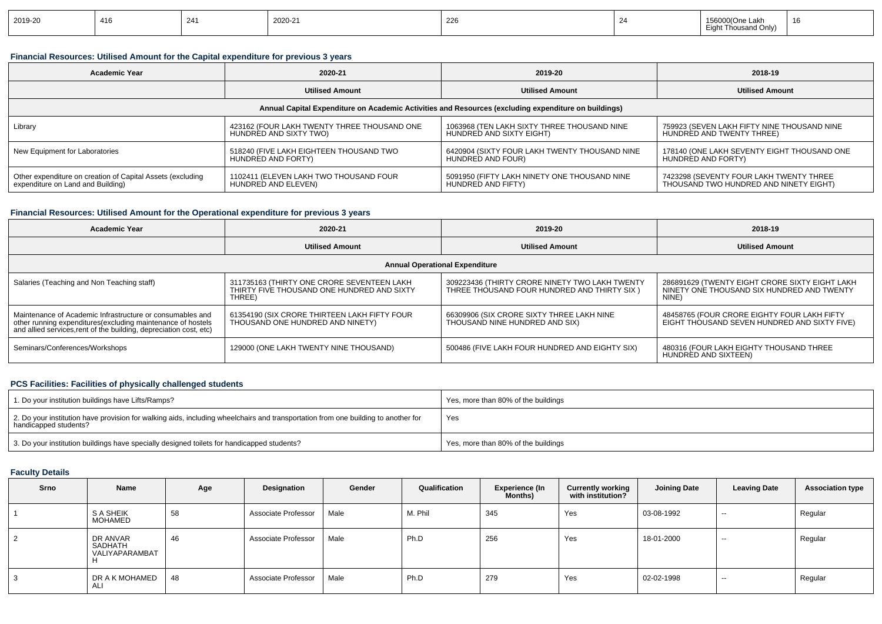| 2019-20 | 416 | ົາ 44<br>-44 | 2020-21 | $\sim$<br>-42 C |  | $^{\circ}$ 00/0n-<br><b>L</b> акп<br>usand Onlv`<br>ın | 16 |
|---------|-----|--------------|---------|-----------------|--|--------------------------------------------------------|----|
|---------|-----|--------------|---------|-----------------|--|--------------------------------------------------------|----|

# **Financial Resources: Utilised Amount for the Capital expenditure for previous 3 years**

| <b>Academic Year</b>                                                                                 | 2020-21                                     |                                               | 2018-19                                     |  |  |  |  |  |
|------------------------------------------------------------------------------------------------------|---------------------------------------------|-----------------------------------------------|---------------------------------------------|--|--|--|--|--|
|                                                                                                      | <b>Utilised Amount</b>                      | <b>Utilised Amount</b>                        | <b>Utilised Amount</b>                      |  |  |  |  |  |
| Annual Capital Expenditure on Academic Activities and Resources (excluding expenditure on buildings) |                                             |                                               |                                             |  |  |  |  |  |
| Library                                                                                              | 423162 (FOUR LAKH TWENTY THREE THOUSAND ONE | 1063968 (TEN LAKH SIXTY THREE THOUSAND NINE   | 759923 (SEVEN LAKH FIFTY NINE THOUSAND NINE |  |  |  |  |  |
|                                                                                                      | HUNDRED AND SIXTY TWO)                      | HUNDRED AND SIXTY EIGHT)                      | HUNDRED AND TWENTY THREE)                   |  |  |  |  |  |
| New Equipment for Laboratories                                                                       | 518240 (FIVE LAKH EIGHTEEN THOUSAND TWO     | 6420904 (SIXTY FOUR LAKH TWENTY THOUSAND NINE | 178140 (ONE LAKH SEVENTY EIGHT THOUSAND ONE |  |  |  |  |  |
|                                                                                                      | HUNDRED AND FORTY)                          | HUNDRED AND FOUR)                             | HUNDRED AND FORTY)                          |  |  |  |  |  |
| Other expenditure on creation of Capital Assets (excluding                                           | 1102411 (ELEVEN LAKH TWO THOUSAND FOUR      | 5091950 (FIFTY LAKH NINETY ONE THOUSAND NINE  | 7423298 (SEVENTY FOUR LAKH TWENTY THREE     |  |  |  |  |  |
| expenditure on Land and Building)                                                                    | HUNDRED AND ELEVEN)                         | HUNDRED AND FIFTY)                            | THOUSAND TWO HUNDRED AND NINETY EIGHT)      |  |  |  |  |  |

# **Financial Resources: Utilised Amount for the Operational expenditure for previous 3 years**

| <b>Academic Year</b>                                                                                                                                                                            | 2020-21                                                                                            | 2019-20                                                                                       | 2018-19                                                                                               |  |  |  |  |
|-------------------------------------------------------------------------------------------------------------------------------------------------------------------------------------------------|----------------------------------------------------------------------------------------------------|-----------------------------------------------------------------------------------------------|-------------------------------------------------------------------------------------------------------|--|--|--|--|
|                                                                                                                                                                                                 | <b>Utilised Amount</b>                                                                             | <b>Utilised Amount</b>                                                                        | <b>Utilised Amount</b>                                                                                |  |  |  |  |
| <b>Annual Operational Expenditure</b>                                                                                                                                                           |                                                                                                    |                                                                                               |                                                                                                       |  |  |  |  |
| Salaries (Teaching and Non Teaching staff)                                                                                                                                                      | 311735163 (THIRTY ONE CRORE SEVENTEEN LAKH<br>THIRTY FIVE THOUSAND ONE HUNDRED AND SIXTY<br>THREE) | 309223436 (THIRTY CRORE NINETY TWO LAKH TWENTY<br>THREE THOUSAND FOUR HUNDRED AND THIRTY SIX) | 286891629 (TWENTY EIGHT CRORE SIXTY EIGHT LAKH<br>NINETY ONE THOUSAND SIX HUNDRED AND TWENTY<br>NINE) |  |  |  |  |
| Maintenance of Academic Infrastructure or consumables and<br>other running expenditures (excluding maintenance of hostels<br>and allied services, rent of the building, depreciation cost, etc) | 61354190 (SIX CRORE THIRTEEN LAKH FIFTY FOUR<br>THOUSAND ONE HUNDRED AND NINETY)                   | 66309906 (SIX CRORE SIXTY THREE LAKH NINE<br>THOUSAND NINE HUNDRED AND SIX)                   | 48458765 (FOUR CRORE EIGHTY FOUR LAKH FIFTY<br>EIGHT THOUSAND SEVEN HUNDRED AND SIXTY FIVE)           |  |  |  |  |
| Seminars/Conferences/Workshops                                                                                                                                                                  | 129000 (ONE LAKH TWENTY NINE THOUSAND)                                                             | 500486 (FIVE LAKH FOUR HUNDRED AND EIGHTY SIX)                                                | 480316 (FOUR LAKH EIGHTY THOUSAND THREE<br>HUNDRED AND SIXTEEN)                                       |  |  |  |  |

# **PCS Facilities: Facilities of physically challenged students**

| 1. Do your institution buildings have Lifts/Ramps?                                                                                                         | Yes, more than 80% of the buildings |
|------------------------------------------------------------------------------------------------------------------------------------------------------------|-------------------------------------|
| 2. Do your institution have provision for walking aids, including wheelchairs and transportation from one building to another for<br>handicapped students? | Yes                                 |
| 3. Do your institution buildings have specially designed toilets for handicapped students?                                                                 | Yes, more than 80% of the buildings |

# **Faculty Details**

| Srno | Name                                  | Age | Designation         | Gender | Qualification | <b>Experience (In</b><br><b>Months</b> ) | <b>Currently working</b><br>with institution? | <b>Joining Date</b> | <b>Leaving Date</b> | <b>Association type</b> |
|------|---------------------------------------|-----|---------------------|--------|---------------|------------------------------------------|-----------------------------------------------|---------------------|---------------------|-------------------------|
|      | S A SHEIK<br><b>MOHAMED</b>           | 58  | Associate Professor | Male   | M. Phil       | 345                                      | Yes                                           | 03-08-1992          | $-$                 | Regular                 |
| 2    | DR ANVAR<br>SADHATH<br>VALIYAPARAMBAT | 46  | Associate Professor | Male   | Ph.D          | 256                                      | Yes                                           | 18-01-2000          | $-$                 | Regular                 |
| 3    | DR A K MOHAMED<br>ALI                 | 48  | Associate Professor | Male   | Ph.D          | 279                                      | Yes                                           | 02-02-1998          | $-$                 | Regular                 |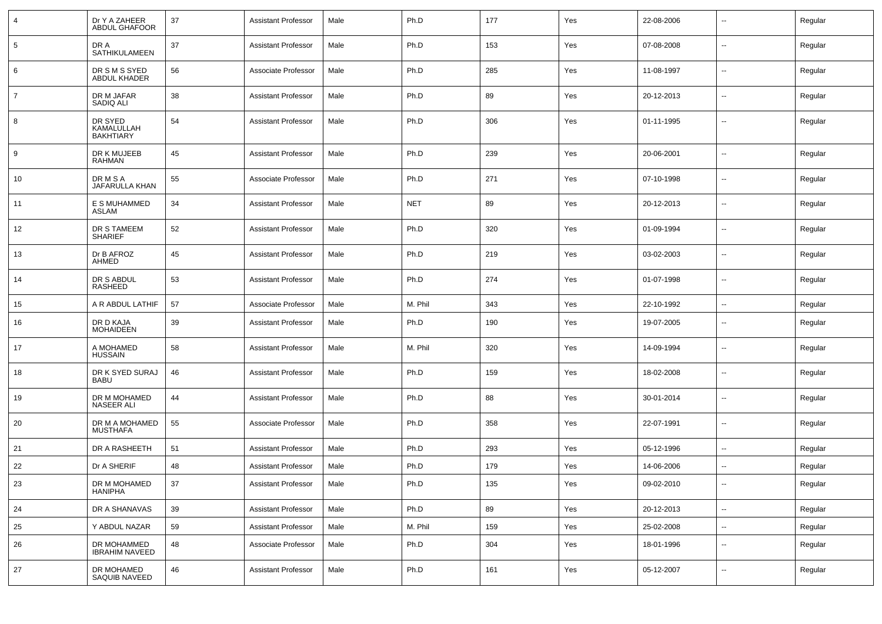| 4  | Dr Y A ZAHEER<br>ABDUL GHAFOOR            | 37 | <b>Assistant Professor</b> | Male | Ph.D       | 177 | Yes | 22-08-2006 | $\overline{\phantom{a}}$ | Regular |
|----|-------------------------------------------|----|----------------------------|------|------------|-----|-----|------------|--------------------------|---------|
| 5  | DR A<br><b>SATHIKULAMEEN</b>              | 37 | <b>Assistant Professor</b> | Male | Ph.D       | 153 | Yes | 07-08-2008 | $\overline{\phantom{a}}$ | Regular |
| 6  | DR S M S SYED<br>ABDUL KHADER             | 56 | Associate Professor        | Male | Ph.D       | 285 | Yes | 11-08-1997 | $\sim$                   | Regular |
| 7  | DR M JAFAR<br>SADIQ ALI                   | 38 | <b>Assistant Professor</b> | Male | Ph.D       | 89  | Yes | 20-12-2013 | $\sim$                   | Regular |
| 8  | DR SYED<br>KAMALULLAH<br><b>BAKHTIARY</b> | 54 | <b>Assistant Professor</b> | Male | Ph.D       | 306 | Yes | 01-11-1995 | $\sim$                   | Regular |
| 9  | DR K MUJEEB<br><b>RAHMAN</b>              | 45 | <b>Assistant Professor</b> | Male | Ph.D       | 239 | Yes | 20-06-2001 | $\overline{\phantom{a}}$ | Regular |
| 10 | <b>DRMSA</b><br>JAFARULLA KHAN            | 55 | Associate Professor        | Male | Ph.D       | 271 | Yes | 07-10-1998 | $\overline{\phantom{a}}$ | Regular |
| 11 | E S MUHAMMED<br>ASLAM                     | 34 | <b>Assistant Professor</b> | Male | <b>NET</b> | 89  | Yes | 20-12-2013 | $\overline{\phantom{a}}$ | Regular |
| 12 | DR S TAMEEM<br><b>SHARIEF</b>             | 52 | <b>Assistant Professor</b> | Male | Ph.D       | 320 | Yes | 01-09-1994 | $\sim$                   | Regular |
| 13 | Dr B AFROZ<br>AHMED                       | 45 | <b>Assistant Professor</b> | Male | Ph.D       | 219 | Yes | 03-02-2003 | $\overline{\phantom{a}}$ | Regular |
| 14 | DR S ABDUL<br>RASHEED                     | 53 | <b>Assistant Professor</b> | Male | Ph.D       | 274 | Yes | 01-07-1998 | $\overline{\phantom{a}}$ | Regular |
| 15 | A R ABDUL LATHIF                          | 57 | Associate Professor        | Male | M. Phil    | 343 | Yes | 22-10-1992 | ⊶.                       | Regular |
| 16 | DR D KAJA<br><b>MOHAIDEEN</b>             | 39 | <b>Assistant Professor</b> | Male | Ph.D       | 190 | Yes | 19-07-2005 | --                       | Regular |
| 17 | A MOHAMED<br><b>HUSSAIN</b>               | 58 | <b>Assistant Professor</b> | Male | M. Phil    | 320 | Yes | 14-09-1994 | $\sim$                   | Regular |
| 18 | DR K SYED SURAJ<br><b>BABU</b>            | 46 | <b>Assistant Professor</b> | Male | Ph.D       | 159 | Yes | 18-02-2008 | $\overline{\phantom{a}}$ | Regular |
| 19 | DR M MOHAMED<br><b>NASEER ALI</b>         | 44 | <b>Assistant Professor</b> | Male | Ph.D       | 88  | Yes | 30-01-2014 | $\sim$                   | Regular |
| 20 | DR M A MOHAMED<br><b>MUSTHAFA</b>         | 55 | Associate Professor        | Male | Ph.D       | 358 | Yes | 22-07-1991 | $\overline{\phantom{a}}$ | Regular |
| 21 | DR A RASHEETH                             | 51 | <b>Assistant Professor</b> | Male | Ph.D       | 293 | Yes | 05-12-1996 | $\overline{\phantom{a}}$ | Regular |
| 22 | Dr A SHERIF                               | 48 | <b>Assistant Professor</b> | Male | Ph.D       | 179 | Yes | 14-06-2006 | $\overline{\phantom{a}}$ | Regular |
| 23 | DR M MOHAMED<br><b>HANIPHA</b>            | 37 | Assistant Professor        | Male | Ph.D       | 135 | Yes | 09-02-2010 | $- -$                    | Regular |
| 24 | DR A SHANAVAS                             | 39 | <b>Assistant Professor</b> | Male | Ph.D       | 89  | Yes | 20-12-2013 | $\sim$                   | Regular |
| 25 | Y ABDUL NAZAR                             | 59 | <b>Assistant Professor</b> | Male | M. Phil    | 159 | Yes | 25-02-2008 | $\sim$                   | Regular |
| 26 | DR MOHAMMED<br><b>IBRAHIM NAVEED</b>      | 48 | Associate Professor        | Male | Ph.D       | 304 | Yes | 18-01-1996 | $\sim$                   | Regular |
| 27 | DR MOHAMED<br>SAQUIB NAVEED               | 46 | <b>Assistant Professor</b> | Male | Ph.D       | 161 | Yes | 05-12-2007 | $\sim$                   | Regular |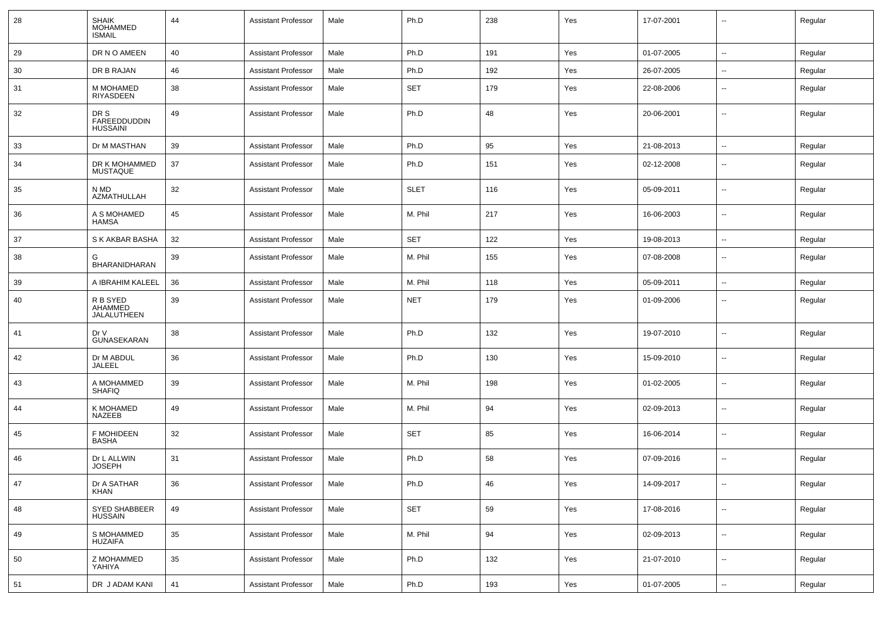| 28 | <b>SHAIK</b><br><b>MOHAMMED</b><br><b>ISMAIL</b> | 44 | <b>Assistant Professor</b> | Male | Ph.D        | 238 | Yes | 17-07-2001 |                          | Regular |
|----|--------------------------------------------------|----|----------------------------|------|-------------|-----|-----|------------|--------------------------|---------|
| 29 | DR N O AMEEN                                     | 40 | <b>Assistant Professor</b> | Male | Ph.D        | 191 | Yes | 01-07-2005 | ш.                       | Regular |
| 30 | DR B RAJAN                                       | 46 | <b>Assistant Professor</b> | Male | Ph.D        | 192 | Yes | 26-07-2005 | ш.                       | Regular |
| 31 | M MOHAMED<br>RIYASDEEN                           | 38 | <b>Assistant Professor</b> | Male | <b>SET</b>  | 179 | Yes | 22-08-2006 | Ξ.                       | Regular |
| 32 | DR S<br><b>FAREEDDUDDIN</b><br><b>HUSSAINI</b>   | 49 | <b>Assistant Professor</b> | Male | Ph.D        | 48  | Yes | 20-06-2001 | $\sim$                   | Regular |
| 33 | Dr M MASTHAN                                     | 39 | <b>Assistant Professor</b> | Male | Ph.D        | 95  | Yes | 21-08-2013 | $\sim$                   | Regular |
| 34 | DR K MOHAMMED<br>MUSTAQUE                        | 37 | <b>Assistant Professor</b> | Male | Ph.D        | 151 | Yes | 02-12-2008 | $\overline{\phantom{a}}$ | Regular |
| 35 | N MD<br>AZMATHULLAH                              | 32 | <b>Assistant Professor</b> | Male | <b>SLET</b> | 116 | Yes | 05-09-2011 | Ξ.                       | Regular |
| 36 | A S MOHAMED<br><b>HAMSA</b>                      | 45 | <b>Assistant Professor</b> | Male | M. Phil     | 217 | Yes | 16-06-2003 | $\sim$                   | Regular |
| 37 | S K AKBAR BASHA                                  | 32 | <b>Assistant Professor</b> | Male | <b>SET</b>  | 122 | Yes | 19-08-2013 | $\sim$                   | Regular |
| 38 | G<br><b>BHARANIDHARAN</b>                        | 39 | <b>Assistant Professor</b> | Male | M. Phil     | 155 | Yes | 07-08-2008 | $\overline{a}$           | Regular |
| 39 | A IBRAHIM KALEEL                                 | 36 | <b>Assistant Professor</b> | Male | M. Phil     | 118 | Yes | 05-09-2011 | ш.                       | Regular |
| 40 | R B SYED<br>AHAMMED<br>JALALUTHEEN               | 39 | <b>Assistant Professor</b> | Male | <b>NET</b>  | 179 | Yes | 01-09-2006 | Ξ.                       | Regular |
| 41 | Dr V<br>GUNASEKARAN                              | 38 | <b>Assistant Professor</b> | Male | Ph.D        | 132 | Yes | 19-07-2010 | ۰.                       | Regular |
| 42 | Dr M ABDUL<br>JALEEL                             | 36 | <b>Assistant Professor</b> | Male | Ph.D        | 130 | Yes | 15-09-2010 | $\overline{a}$           | Regular |
| 43 | A MOHAMMED<br><b>SHAFIQ</b>                      | 39 | <b>Assistant Professor</b> | Male | M. Phil     | 198 | Yes | 01-02-2005 | $\overline{\phantom{a}}$ | Regular |
| 44 | K MOHAMED<br><b>NAZEEB</b>                       | 49 | <b>Assistant Professor</b> | Male | M. Phil     | 94  | Yes | 02-09-2013 | ۰.                       | Regular |
| 45 | <b>F MOHIDEEN</b><br><b>BASHA</b>                | 32 | <b>Assistant Professor</b> | Male | <b>SET</b>  | 85  | Yes | 16-06-2014 | $\overline{a}$           | Regular |
| 46 | Dr L ALLWIN<br><b>JOSEPH</b>                     | 31 | <b>Assistant Professor</b> | Male | Ph.D        | 58  | Yes | 07-09-2016 | $\overline{\phantom{a}}$ | Regular |
| 47 | Dr A SATHAR<br>KHAN                              | 36 | Assistant Professor        | Male | Ph.D        | 46  | Yes | 14-09-2017 | $\overline{\phantom{a}}$ | Regular |
| 48 | SYED SHABBEER<br><b>HUSSAIN</b>                  | 49 | <b>Assistant Professor</b> | Male | SET         | 59  | Yes | 17-08-2016 | $\sim$                   | Regular |
| 49 | S MOHAMMED<br><b>HUZAIFA</b>                     | 35 | <b>Assistant Professor</b> | Male | M. Phil     | 94  | Yes | 02-09-2013 | $\sim$                   | Regular |
| 50 | Z MOHAMMED<br>YAHIYA                             | 35 | <b>Assistant Professor</b> | Male | Ph.D        | 132 | Yes | 21-07-2010 | $\sim$                   | Regular |
| 51 | DR J ADAM KANI                                   | 41 | <b>Assistant Professor</b> | Male | Ph.D        | 193 | Yes | 01-07-2005 | $\sim$                   | Regular |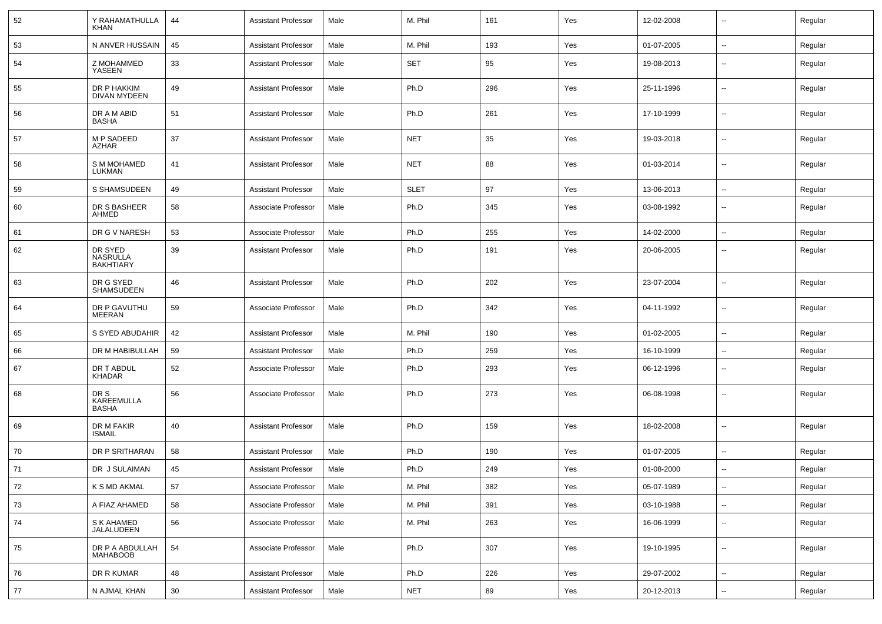| 52 | Y RAHAMATHULLA<br><b>KHAN</b>                  | 44 | <b>Assistant Professor</b> | Male | M. Phil     | 161 | Yes | 12-02-2008 | --                       | Regular |
|----|------------------------------------------------|----|----------------------------|------|-------------|-----|-----|------------|--------------------------|---------|
| 53 | N ANVER HUSSAIN                                | 45 | <b>Assistant Professor</b> | Male | M. Phil     | 193 | Yes | 01-07-2005 | $\overline{\phantom{a}}$ | Regular |
| 54 | Z MOHAMMED<br>YASEEN                           | 33 | <b>Assistant Professor</b> | Male | <b>SET</b>  | 95  | Yes | 19-08-2013 | $\overline{\phantom{a}}$ | Regular |
| 55 | DR P HAKKIM<br><b>DIVAN MYDEEN</b>             | 49 | <b>Assistant Professor</b> | Male | Ph.D        | 296 | Yes | 25-11-1996 | $\overline{\phantom{a}}$ | Regular |
| 56 | DR A M ABID<br><b>BASHA</b>                    | 51 | <b>Assistant Professor</b> | Male | Ph.D        | 261 | Yes | 17-10-1999 | $\overline{\phantom{a}}$ | Regular |
| 57 | <b>MP SADEED</b><br><b>AZHAR</b>               | 37 | <b>Assistant Professor</b> | Male | <b>NET</b>  | 35  | Yes | 19-03-2018 | --                       | Regular |
| 58 | S M MOHAMED<br>LUKMAN                          | 41 | <b>Assistant Professor</b> | Male | <b>NET</b>  | 88  | Yes | 01-03-2014 | $\overline{\phantom{a}}$ | Regular |
| 59 | S SHAMSUDEEN                                   | 49 | <b>Assistant Professor</b> | Male | <b>SLET</b> | 97  | Yes | 13-06-2013 | $\overline{\phantom{a}}$ | Regular |
| 60 | DR S BASHEER<br>AHMED                          | 58 | Associate Professor        | Male | Ph.D        | 345 | Yes | 03-08-1992 | -−                       | Regular |
| 61 | DR G V NARESH                                  | 53 | Associate Professor        | Male | Ph.D        | 255 | Yes | 14-02-2000 | $\overline{\phantom{a}}$ | Regular |
| 62 | DR SYED<br><b>NASRULLA</b><br><b>BAKHTIARY</b> | 39 | <b>Assistant Professor</b> | Male | Ph.D        | 191 | Yes | 20-06-2005 | --                       | Regular |
| 63 | DR G SYED<br><b>SHAMSUDEEN</b>                 | 46 | <b>Assistant Professor</b> | Male | Ph.D        | 202 | Yes | 23-07-2004 | $\overline{\phantom{a}}$ | Regular |
| 64 | DR P GAVUTHU<br>MEERAN                         | 59 | Associate Professor        | Male | Ph.D        | 342 | Yes | 04-11-1992 | -−                       | Regular |
| 65 | S SYED ABUDAHIR                                | 42 | <b>Assistant Professor</b> | Male | M. Phil     | 190 | Yes | 01-02-2005 | $\overline{\phantom{a}}$ | Regular |
| 66 | DR M HABIBULLAH                                | 59 | <b>Assistant Professor</b> | Male | Ph.D        | 259 | Yes | 16-10-1999 | $\overline{\phantom{a}}$ | Regular |
| 67 | DR T ABDUL<br>KHADAR                           | 52 | Associate Professor        | Male | Ph.D        | 293 | Yes | 06-12-1996 | $\overline{\phantom{a}}$ | Regular |
| 68 | DR S<br>KAREEMULLA<br>BASHA                    | 56 | Associate Professor        | Male | Ph.D        | 273 | Yes | 06-08-1998 | $\overline{\phantom{a}}$ | Regular |
| 69 | DR M FAKIR<br><b>ISMAIL</b>                    | 40 | <b>Assistant Professor</b> | Male | Ph.D        | 159 | Yes | 18-02-2008 | $\overline{\phantom{a}}$ | Regular |
| 70 | DR P SRITHARAN                                 | 58 | <b>Assistant Professor</b> | Male | Ph.D        | 190 | Yes | 01-07-2005 | --                       | Regular |
| 71 | DR J SULAIMAN                                  | 45 | <b>Assistant Professor</b> | Male | Ph.D        | 249 | Yes | 01-08-2000 | $\overline{\phantom{a}}$ | Regular |
| 72 | K S MD AKMAL                                   | 57 | Associate Professor        | Male | M. Phil     | 382 | Yes | 05-07-1989 | $\overline{\phantom{a}}$ | Regular |
| 73 | A FIAZ AHAMED                                  | 58 | Associate Professor        | Male | M. Phil     | 391 | Yes | 03-10-1988 | $\overline{\phantom{a}}$ | Regular |
| 74 | S K AHAMED<br>JALALUDEEN                       | 56 | Associate Professor        | Male | M. Phil     | 263 | Yes | 16-06-1999 | $\overline{\phantom{a}}$ | Regular |
| 75 | DR P A ABDULLAH<br>MAHABOOB                    | 54 | Associate Professor        | Male | Ph.D        | 307 | Yes | 19-10-1995 | $\sim$                   | Regular |
| 76 | DR R KUMAR                                     | 48 | <b>Assistant Professor</b> | Male | Ph.D        | 226 | Yes | 29-07-2002 | $\overline{\phantom{a}}$ | Regular |
| 77 | N AJMAL KHAN                                   | 30 | <b>Assistant Professor</b> | Male | <b>NET</b>  | 89  | Yes | 20-12-2013 | $\overline{\phantom{a}}$ | Regular |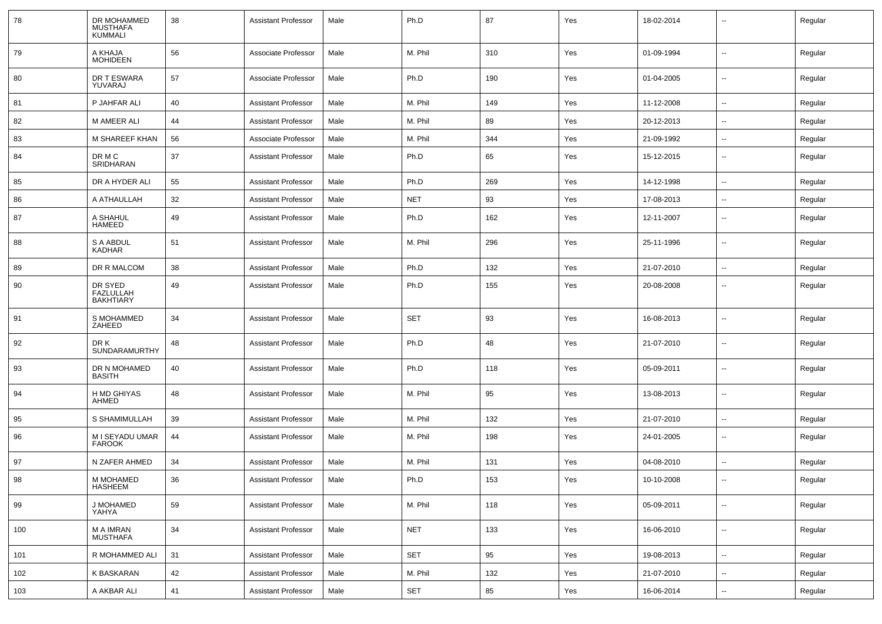| 78  | DR MOHAMMED<br><b>MUSTHAFA</b><br><b>KUMMALI</b> | 38 | <b>Assistant Professor</b> | Male | Ph.D       | 87  | Yes | 18-02-2014 | --                       | Regular |
|-----|--------------------------------------------------|----|----------------------------|------|------------|-----|-----|------------|--------------------------|---------|
| 79  | A KHAJA<br><b>MOHIDEEN</b>                       | 56 | Associate Professor        | Male | M. Phil    | 310 | Yes | 01-09-1994 | $\sim$                   | Regular |
| 80  | DR T ESWARA<br>YUVARAJ                           | 57 | Associate Professor        | Male | Ph.D       | 190 | Yes | 01-04-2005 | $\sim$                   | Regular |
| 81  | P JAHFAR ALI                                     | 40 | <b>Assistant Professor</b> | Male | M. Phil    | 149 | Yes | 11-12-2008 | $\sim$                   | Regular |
| 82  | M AMEER ALI                                      | 44 | <b>Assistant Professor</b> | Male | M. Phil    | 89  | Yes | 20-12-2013 | $\sim$                   | Regular |
| 83  | M SHAREEF KHAN                                   | 56 | Associate Professor        | Male | M. Phil    | 344 | Yes | 21-09-1992 | $\sim$                   | Regular |
| 84  | DR M C<br>SRIDHARAN                              | 37 | <b>Assistant Professor</b> | Male | Ph.D       | 65  | Yes | 15-12-2015 | $\overline{\phantom{a}}$ | Regular |
| 85  | DR A HYDER ALI                                   | 55 | <b>Assistant Professor</b> | Male | Ph.D       | 269 | Yes | 14-12-1998 | $\overline{\phantom{a}}$ | Regular |
| 86  | A ATHAULLAH                                      | 32 | <b>Assistant Professor</b> | Male | <b>NET</b> | 93  | Yes | 17-08-2013 | $\overline{\phantom{a}}$ | Regular |
| 87  | A SHAHUL<br><b>HAMEED</b>                        | 49 | <b>Assistant Professor</b> | Male | Ph.D       | 162 | Yes | 12-11-2007 | $\sim$                   | Regular |
| 88  | S A ABDUL<br><b>KADHAR</b>                       | 51 | <b>Assistant Professor</b> | Male | M. Phil    | 296 | Yes | 25-11-1996 | $\overline{\phantom{a}}$ | Regular |
| 89  | DR R MALCOM                                      | 38 | <b>Assistant Professor</b> | Male | Ph.D       | 132 | Yes | 21-07-2010 | $\overline{\phantom{a}}$ | Regular |
| 90  | DR SYED<br>FAZLULLAH<br><b>BAKHTIARY</b>         | 49 | <b>Assistant Professor</b> | Male | Ph.D       | 155 | Yes | 20-08-2008 | $\overline{\phantom{a}}$ | Regular |
| 91  | S MOHAMMED<br>ZAHEED                             | 34 | <b>Assistant Professor</b> | Male | <b>SET</b> | 93  | Yes | 16-08-2013 | $\sim$                   | Regular |
| 92  | DR K<br>SUNDARAMURTHY                            | 48 | <b>Assistant Professor</b> | Male | Ph.D       | 48  | Yes | 21-07-2010 | $\overline{\phantom{a}}$ | Regular |
| 93  | DR N MOHAMED<br><b>BASITH</b>                    | 40 | <b>Assistant Professor</b> | Male | Ph.D       | 118 | Yes | 05-09-2011 | $\sim$                   | Regular |
| 94  | H MD GHIYAS<br>AHMED                             | 48 | <b>Assistant Professor</b> | Male | M. Phil    | 95  | Yes | 13-08-2013 | $\overline{\phantom{a}}$ | Regular |
| 95  | S SHAMIMULLAH                                    | 39 | <b>Assistant Professor</b> | Male | M. Phil    | 132 | Yes | 21-07-2010 | $\overline{\phantom{a}}$ | Regular |
| 96  | M I SEYADU UMAR<br><b>FAROOK</b>                 | 44 | <b>Assistant Professor</b> | Male | M. Phil    | 198 | Yes | 24-01-2005 | $\sim$                   | Regular |
| 97  | N ZAFER AHMED                                    | 34 | <b>Assistant Professor</b> | Male | M. Phil    | 131 | Yes | 04-08-2010 | $\sim$                   | Regular |
| 98  | M MOHAMED<br><b>HASHEEM</b>                      | 36 | <b>Assistant Professor</b> | Male | Ph.D       | 153 | Yes | 10-10-2008 | $\sim$                   | Regular |
| 99  | J MOHAMED<br>YAHYA                               | 59 | <b>Assistant Professor</b> | Male | M. Phil    | 118 | Yes | 05-09-2011 | $\sim$                   | Regular |
| 100 | M A IMRAN<br>MUSTHAFA                            | 34 | <b>Assistant Professor</b> | Male | <b>NET</b> | 133 | Yes | 16-06-2010 | $\sim$                   | Regular |
| 101 | R MOHAMMED ALI                                   | 31 | <b>Assistant Professor</b> | Male | SET        | 95  | Yes | 19-08-2013 | $\sim$                   | Regular |
| 102 | K BASKARAN                                       | 42 | <b>Assistant Professor</b> | Male | M. Phil    | 132 | Yes | 21-07-2010 | $\overline{\phantom{a}}$ | Regular |
| 103 | A AKBAR ALI                                      | 41 | <b>Assistant Professor</b> | Male | SET        | 85  | Yes | 16-06-2014 | $\overline{\phantom{a}}$ | Regular |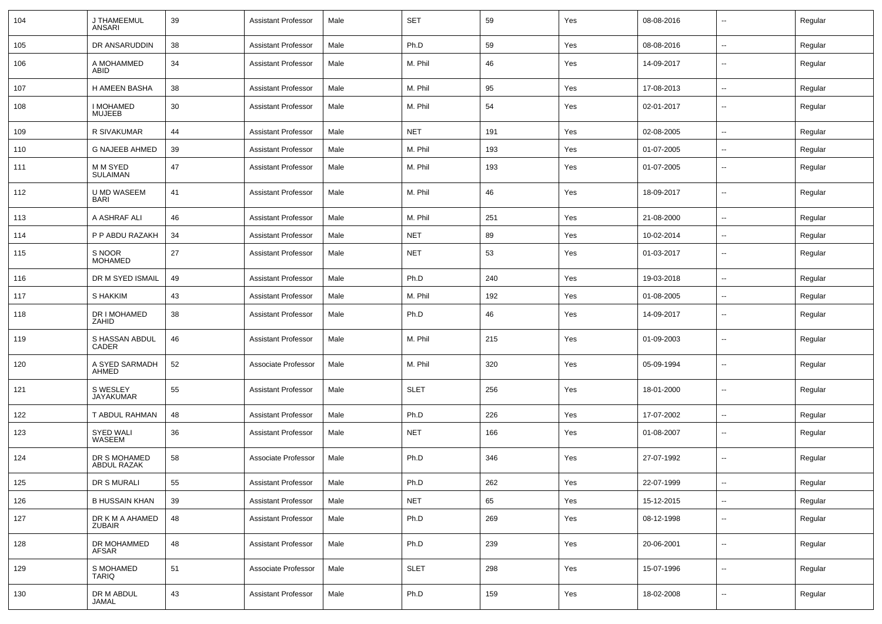| 104 | J THAMEEMUL<br>ANSARI              | 39 | <b>Assistant Professor</b> | Male | <b>SET</b>  | 59  | Yes | 08-08-2016 | $\sim$                   | Regular |
|-----|------------------------------------|----|----------------------------|------|-------------|-----|-----|------------|--------------------------|---------|
| 105 | DR ANSARUDDIN                      | 38 | <b>Assistant Professor</b> | Male | Ph.D        | 59  | Yes | 08-08-2016 | $\sim$                   | Regular |
| 106 | A MOHAMMED<br>ABID                 | 34 | <b>Assistant Professor</b> | Male | M. Phil     | 46  | Yes | 14-09-2017 | $\sim$                   | Regular |
| 107 | H AMEEN BASHA                      | 38 | <b>Assistant Professor</b> | Male | M. Phil     | 95  | Yes | 17-08-2013 | $\sim$                   | Regular |
| 108 | I MOHAMED<br><b>MUJEEB</b>         | 30 | <b>Assistant Professor</b> | Male | M. Phil     | 54  | Yes | 02-01-2017 | $\sim$                   | Regular |
| 109 | R SIVAKUMAR                        | 44 | <b>Assistant Professor</b> | Male | <b>NET</b>  | 191 | Yes | 02-08-2005 | $\mathbf{u}$             | Regular |
| 110 | <b>G NAJEEB AHMED</b>              | 39 | <b>Assistant Professor</b> | Male | M. Phil     | 193 | Yes | 01-07-2005 | $\overline{\phantom{a}}$ | Regular |
| 111 | M M SYED<br>SULAIMAN               | 47 | <b>Assistant Professor</b> | Male | M. Phil     | 193 | Yes | 01-07-2005 | $\overline{\phantom{a}}$ | Regular |
| 112 | U MD WASEEM<br><b>BARI</b>         | 41 | <b>Assistant Professor</b> | Male | M. Phil     | 46  | Yes | 18-09-2017 | $\overline{\phantom{a}}$ | Regular |
| 113 | A ASHRAF ALI                       | 46 | <b>Assistant Professor</b> | Male | M. Phil     | 251 | Yes | 21-08-2000 | $\mathbf{u}$             | Regular |
| 114 | P P ABDU RAZAKH                    | 34 | <b>Assistant Professor</b> | Male | <b>NET</b>  | 89  | Yes | 10-02-2014 | $\mathbf{u}$             | Regular |
| 115 | S NOOR<br><b>MOHAMED</b>           | 27 | <b>Assistant Professor</b> | Male | <b>NET</b>  | 53  | Yes | 01-03-2017 | $\mathbf{u}$             | Regular |
| 116 | DR M SYED ISMAIL                   | 49 | <b>Assistant Professor</b> | Male | Ph.D        | 240 | Yes | 19-03-2018 | $\sim$                   | Regular |
| 117 | <b>S HAKKIM</b>                    | 43 | <b>Assistant Professor</b> | Male | M. Phil     | 192 | Yes | 01-08-2005 | $\sim$                   | Regular |
| 118 | DR I MOHAMED<br>ZAHID              | 38 | <b>Assistant Professor</b> | Male | Ph.D        | 46  | Yes | 14-09-2017 | $\overline{\phantom{a}}$ | Regular |
| 119 | S HASSAN ABDUL<br>CADER            | 46 | <b>Assistant Professor</b> | Male | M. Phil     | 215 | Yes | 01-09-2003 | $\overline{\phantom{a}}$ | Regular |
| 120 | A SYED SARMADH<br>AHMED            | 52 | Associate Professor        | Male | M. Phil     | 320 | Yes | 05-09-1994 | $\overline{\phantom{a}}$ | Regular |
| 121 | S WESLEY<br><b>JAYAKUMAR</b>       | 55 | <b>Assistant Professor</b> | Male | <b>SLET</b> | 256 | Yes | 18-01-2000 | $\overline{\phantom{a}}$ | Regular |
| 122 | T ABDUL RAHMAN                     | 48 | <b>Assistant Professor</b> | Male | Ph.D        | 226 | Yes | 17-07-2002 | $\mathbf{u}$             | Regular |
| 123 | <b>SYED WALI</b><br>WASEEM         | 36 | <b>Assistant Professor</b> | Male | <b>NET</b>  | 166 | Yes | 01-08-2007 | $\overline{\phantom{a}}$ | Regular |
| 124 | DR S MOHAMED<br><b>ABDUL RAZAK</b> | 58 | Associate Professor        | Male | Ph.D        | 346 | Yes | 27-07-1992 | $\mathbf{u}$             | Regular |
| 125 | DR S MURALI                        | 55 | Assistant Professor        | Male | Ph.D        | 262 | Yes | 22-07-1999 | $\overline{\phantom{a}}$ | Regular |
| 126 | <b>B HUSSAIN KHAN</b>              | 39 | Assistant Professor        | Male | <b>NET</b>  | 65  | Yes | 15-12-2015 | $\sim$                   | Regular |
| 127 | DR K M A AHAMED<br><b>ZUBAIR</b>   | 48 | Assistant Professor        | Male | Ph.D        | 269 | Yes | 08-12-1998 | $\overline{\phantom{a}}$ | Regular |
| 128 | DR MOHAMMED<br>AFSAR               | 48 | Assistant Professor        | Male | Ph.D        | 239 | Yes | 20-06-2001 | $\sim$                   | Regular |
| 129 | S MOHAMED<br>TARIQ                 | 51 | Associate Professor        | Male | <b>SLET</b> | 298 | Yes | 15-07-1996 | $\sim$                   | Regular |
| 130 | DR M ABDUL<br>JAMAL                | 43 | Assistant Professor        | Male | Ph.D        | 159 | Yes | 18-02-2008 | $\sim$                   | Regular |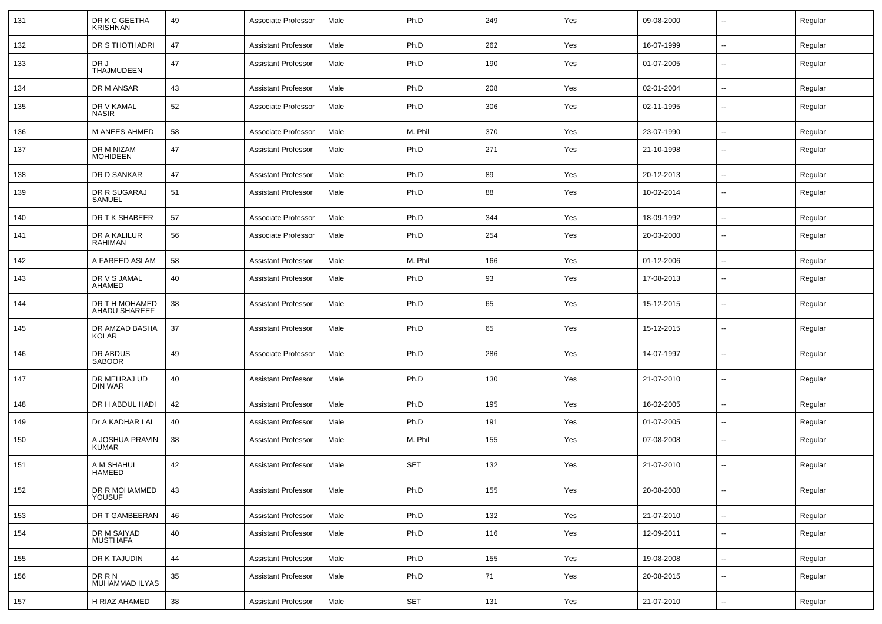| 131 | DR K C GEETHA<br><b>KRISHNAN</b> | 49 | Associate Professor        | Male | Ph.D       | 249 | Yes | 09-08-2000 | $\sim$                   | Regular |
|-----|----------------------------------|----|----------------------------|------|------------|-----|-----|------------|--------------------------|---------|
| 132 | DR S THOTHADRI                   | 47 | <b>Assistant Professor</b> | Male | Ph.D       | 262 | Yes | 16-07-1999 | $\sim$                   | Regular |
| 133 | DR J<br><b>THAJMUDEEN</b>        | 47 | <b>Assistant Professor</b> | Male | Ph.D       | 190 | Yes | 01-07-2005 | --                       | Regular |
| 134 | DR M ANSAR                       | 43 | <b>Assistant Professor</b> | Male | Ph.D       | 208 | Yes | 02-01-2004 | -−                       | Regular |
| 135 | DR V KAMAL<br><b>NASIR</b>       | 52 | Associate Professor        | Male | Ph.D       | 306 | Yes | 02-11-1995 | $\overline{\phantom{a}}$ | Regular |
| 136 | M ANEES AHMED                    | 58 | Associate Professor        | Male | M. Phil    | 370 | Yes | 23-07-1990 | --                       | Regular |
| 137 | DR M NIZAM<br><b>MOHIDEEN</b>    | 47 | <b>Assistant Professor</b> | Male | Ph.D       | 271 | Yes | 21-10-1998 | --                       | Regular |
| 138 | DR D SANKAR                      | 47 | <b>Assistant Professor</b> | Male | Ph.D       | 89  | Yes | 20-12-2013 | $\overline{\phantom{a}}$ | Regular |
| 139 | DR R SUGARAJ<br>SAMUEL           | 51 | <b>Assistant Professor</b> | Male | Ph.D       | 88  | Yes | 10-02-2014 | --                       | Regular |
| 140 | DR T K SHABEER                   | 57 | Associate Professor        | Male | Ph.D       | 344 | Yes | 18-09-1992 | --                       | Regular |
| 141 | DR A KALILUR<br>RAHIMAN          | 56 | Associate Professor        | Male | Ph.D       | 254 | Yes | 20-03-2000 | $\overline{a}$           | Regular |
| 142 | A FAREED ASLAM                   | 58 | <b>Assistant Professor</b> | Male | M. Phil    | 166 | Yes | 01-12-2006 | $\overline{\phantom{a}}$ | Regular |
| 143 | DR V S JAMAL<br>AHAMED           | 40 | <b>Assistant Professor</b> | Male | Ph.D       | 93  | Yes | 17-08-2013 | --                       | Regular |
| 144 | DR T H MOHAMED<br>AHADU SHAREEF  | 38 | <b>Assistant Professor</b> | Male | Ph.D       | 65  | Yes | 15-12-2015 | $\overline{\phantom{a}}$ | Regular |
| 145 | DR AMZAD BASHA<br><b>KOLAR</b>   | 37 | <b>Assistant Professor</b> | Male | Ph.D       | 65  | Yes | 15-12-2015 | $\overline{\phantom{a}}$ | Regular |
| 146 | DR ABDUS<br><b>SABOOR</b>        | 49 | Associate Professor        | Male | Ph.D       | 286 | Yes | 14-07-1997 | --                       | Regular |
| 147 | DR MEHRAJ UD<br>DIN WAR          | 40 | <b>Assistant Professor</b> | Male | Ph.D       | 130 | Yes | 21-07-2010 | $\overline{\phantom{a}}$ | Regular |
| 148 | DR H ABDUL HADI                  | 42 | <b>Assistant Professor</b> | Male | Ph.D       | 195 | Yes | 16-02-2005 | $\overline{\phantom{a}}$ | Regular |
| 149 | Dr A KADHAR LAL                  | 40 | <b>Assistant Professor</b> | Male | Ph.D       | 191 | Yes | 01-07-2005 | --                       | Regular |
| 150 | A JOSHUA PRAVIN<br><b>KUMAR</b>  | 38 | <b>Assistant Professor</b> | Male | M. Phil    | 155 | Yes | 07-08-2008 | $\overline{\phantom{a}}$ | Regular |
| 151 | A M SHAHUL<br><b>HAMEED</b>      | 42 | <b>Assistant Professor</b> | Male | SET        | 132 | Yes | 21-07-2010 | --                       | Regular |
| 152 | DR R MOHAMMED<br><b>YOUSUF</b>   | 43 | <b>Assistant Professor</b> | Male | Ph.D       | 155 | Yes | 20-08-2008 | $\overline{\phantom{a}}$ | Regular |
| 153 | DR T GAMBEERAN                   | 46 | <b>Assistant Professor</b> | Male | Ph.D       | 132 | Yes | 21-07-2010 | $\sim$                   | Regular |
| 154 | DR M SAIYAD<br><b>MUSTHAFA</b>   | 40 | <b>Assistant Professor</b> | Male | Ph.D       | 116 | Yes | 12-09-2011 | $\overline{\phantom{a}}$ | Regular |
| 155 | DR K TAJUDIN                     | 44 | <b>Assistant Professor</b> | Male | Ph.D       | 155 | Yes | 19-08-2008 | $\sim$                   | Regular |
| 156 | DR R N<br>MUHAMMAD ILYAS         | 35 | Assistant Professor        | Male | Ph.D       | 71  | Yes | 20-08-2015 | $\overline{\phantom{a}}$ | Regular |
| 157 | H RIAZ AHAMED                    | 38 | <b>Assistant Professor</b> | Male | <b>SET</b> | 131 | Yes | 21-07-2010 | Ξ.                       | Regular |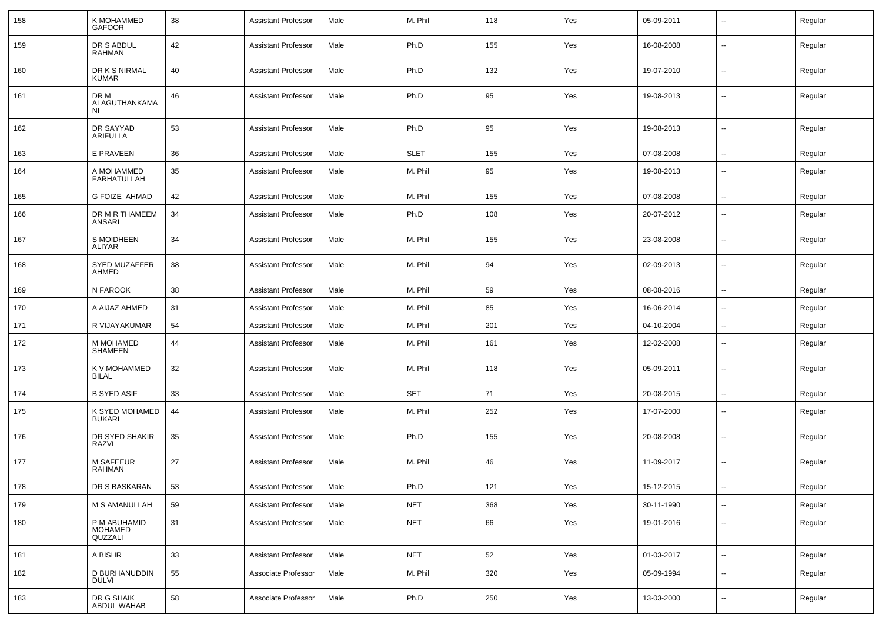| 158 | K MOHAMMED<br><b>GAFOOR</b>               | 38 | <b>Assistant Professor</b> | Male | M. Phil     | 118 | Yes | 05-09-2011 | $\overline{\phantom{a}}$ | Regular |
|-----|-------------------------------------------|----|----------------------------|------|-------------|-----|-----|------------|--------------------------|---------|
| 159 | DR S ABDUL<br><b>RAHMAN</b>               | 42 | <b>Assistant Professor</b> | Male | Ph.D        | 155 | Yes | 16-08-2008 | $\sim$                   | Regular |
| 160 | DR K S NIRMAL<br><b>KUMAR</b>             | 40 | <b>Assistant Professor</b> | Male | Ph.D        | 132 | Yes | 19-07-2010 | $\sim$                   | Regular |
| 161 | DR M<br>ALAGUTHANKAMA<br><b>NI</b>        | 46 | <b>Assistant Professor</b> | Male | Ph.D        | 95  | Yes | 19-08-2013 | $\overline{\phantom{a}}$ | Regular |
| 162 | DR SAYYAD<br><b>ARIFULLA</b>              | 53 | <b>Assistant Professor</b> | Male | Ph.D        | 95  | Yes | 19-08-2013 | $\mathbf{u}$             | Regular |
| 163 | E PRAVEEN                                 | 36 | <b>Assistant Professor</b> | Male | <b>SLET</b> | 155 | Yes | 07-08-2008 | $\mathbf{u}$             | Regular |
| 164 | A MOHAMMED<br><b>FARHATULLAH</b>          | 35 | <b>Assistant Professor</b> | Male | M. Phil     | 95  | Yes | 19-08-2013 | $\sim$                   | Regular |
| 165 | <b>G FOIZE AHMAD</b>                      | 42 | <b>Assistant Professor</b> | Male | M. Phil     | 155 | Yes | 07-08-2008 | $\sim$                   | Regular |
| 166 | DR M R THAMEEM<br>ANSARI                  | 34 | <b>Assistant Professor</b> | Male | Ph.D        | 108 | Yes | 20-07-2012 | $\overline{\phantom{a}}$ | Regular |
| 167 | <b>S MOIDHEEN</b><br><b>ALIYAR</b>        | 34 | <b>Assistant Professor</b> | Male | M. Phil     | 155 | Yes | 23-08-2008 | --                       | Regular |
| 168 | <b>SYED MUZAFFER</b><br>AHMED             | 38 | <b>Assistant Professor</b> | Male | M. Phil     | 94  | Yes | 02-09-2013 | $\overline{\phantom{a}}$ | Regular |
| 169 | N FAROOK                                  | 38 | <b>Assistant Professor</b> | Male | M. Phil     | 59  | Yes | 08-08-2016 | $\overline{\phantom{a}}$ | Regular |
| 170 | A AIJAZ AHMED                             | 31 | <b>Assistant Professor</b> | Male | M. Phil     | 85  | Yes | 16-06-2014 | $\mathbf{u}$             | Regular |
| 171 | R VIJAYAKUMAR                             | 54 | <b>Assistant Professor</b> | Male | M. Phil     | 201 | Yes | 04-10-2004 | $\overline{\phantom{a}}$ | Regular |
| 172 | M MOHAMED<br>SHAMEEN                      | 44 | <b>Assistant Professor</b> | Male | M. Phil     | 161 | Yes | 12-02-2008 | --                       | Regular |
| 173 | K V MOHAMMED<br><b>BILAL</b>              | 32 | <b>Assistant Professor</b> | Male | M. Phil     | 118 | Yes | 05-09-2011 | --                       | Regular |
| 174 | <b>B SYED ASIF</b>                        | 33 | <b>Assistant Professor</b> | Male | <b>SET</b>  | 71  | Yes | 20-08-2015 | $\mathbf{u}$             | Regular |
| 175 | K SYED MOHAMED<br><b>BUKARI</b>           | 44 | <b>Assistant Professor</b> | Male | M. Phil     | 252 | Yes | 17-07-2000 | $\mathbf{u}$             | Regular |
| 176 | DR SYED SHAKIR<br>RAZVI                   | 35 | <b>Assistant Professor</b> | Male | Ph.D        | 155 | Yes | 20-08-2008 | $\mathbf{u}$             | Regular |
| 177 | M SAFEEUR<br><b>RAHMAN</b>                | 27 | <b>Assistant Professor</b> | Male | M. Phil     | 46  | Yes | 11-09-2017 | $\mathbf{u}$             | Regular |
| 178 | DR S BASKARAN                             | 53 | <b>Assistant Professor</b> | Male | Ph.D        | 121 | Yes | 15-12-2015 | $\sim$                   | Regular |
| 179 | M S AMANULLAH                             | 59 | <b>Assistant Professor</b> | Male | <b>NET</b>  | 368 | Yes | 30-11-1990 | $\sim$                   | Regular |
| 180 | P M ABUHAMID<br><b>MOHAMED</b><br>QUZZALI | 31 | <b>Assistant Professor</b> | Male | <b>NET</b>  | 66  | Yes | 19-01-2016 | $\overline{\phantom{a}}$ | Regular |
| 181 | A BISHR                                   | 33 | <b>Assistant Professor</b> | Male | <b>NET</b>  | 52  | Yes | 01-03-2017 | $\sim$                   | Regular |
| 182 | D BURHANUDDIN<br><b>DULVI</b>             | 55 | Associate Professor        | Male | M. Phil     | 320 | Yes | 05-09-1994 | $\overline{\phantom{a}}$ | Regular |
| 183 | DR G SHAIK<br>ABDUL WAHAB                 | 58 | Associate Professor        | Male | Ph.D        | 250 | Yes | 13-03-2000 | --                       | Regular |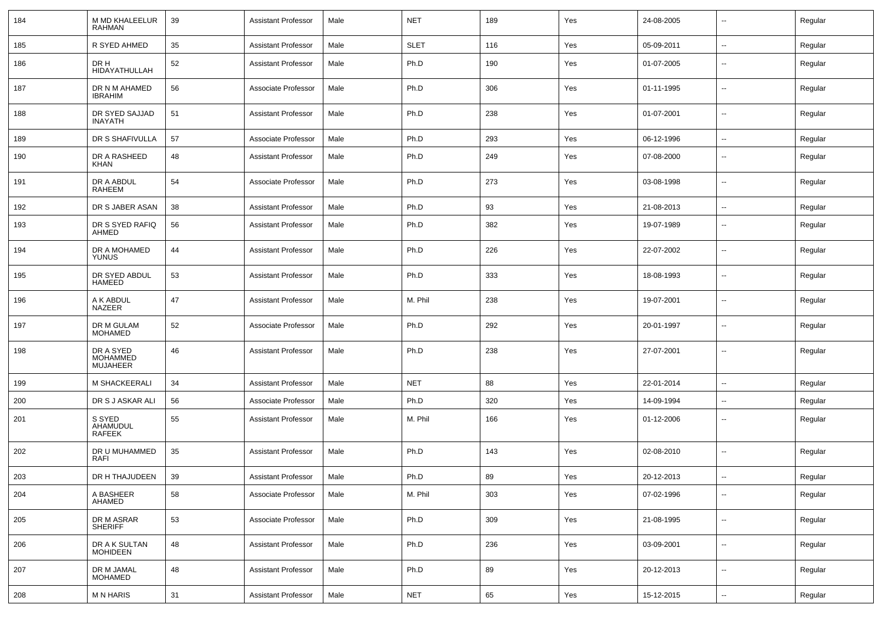| 184 | M MD KHALEELUR<br><b>RAHMAN</b>          | 39 | <b>Assistant Professor</b> | Male | <b>NET</b>  | 189 | Yes | 24-08-2005 | --             | Regular |
|-----|------------------------------------------|----|----------------------------|------|-------------|-----|-----|------------|----------------|---------|
| 185 | R SYED AHMED                             | 35 | <b>Assistant Professor</b> | Male | <b>SLET</b> | 116 | Yes | 05-09-2011 | ⊷.             | Regular |
| 186 | DR H<br>HIDAYATHULLAH                    | 52 | <b>Assistant Professor</b> | Male | Ph.D        | 190 | Yes | 01-07-2005 | ۰.             | Regular |
| 187 | DR N M AHAMED<br><b>IBRAHIM</b>          | 56 | Associate Professor        | Male | Ph.D        | 306 | Yes | 01-11-1995 | $\overline{a}$ | Regular |
| 188 | DR SYED SAJJAD<br><b>INAYATH</b>         | 51 | <b>Assistant Professor</b> | Male | Ph.D        | 238 | Yes | 01-07-2001 | $\overline{a}$ | Regular |
| 189 | DR S SHAFIVULLA                          | 57 | Associate Professor        | Male | Ph.D        | 293 | Yes | 06-12-1996 | $\overline{a}$ | Regular |
| 190 | DR A RASHEED<br>KHAN                     | 48 | <b>Assistant Professor</b> | Male | Ph.D        | 249 | Yes | 07-08-2000 | --             | Regular |
| 191 | DR A ABDUL<br>RAHEEM                     | 54 | Associate Professor        | Male | Ph.D        | 273 | Yes | 03-08-1998 | ۰.             | Regular |
| 192 | DR S JABER ASAN                          | 38 | <b>Assistant Professor</b> | Male | Ph.D        | 93  | Yes | 21-08-2013 | ۰.             | Regular |
| 193 | DR S SYED RAFIQ<br>AHMED                 | 56 | <b>Assistant Professor</b> | Male | Ph.D        | 382 | Yes | 19-07-1989 | --             | Regular |
| 194 | DR A MOHAMED<br><b>YUNUS</b>             | 44 | <b>Assistant Professor</b> | Male | Ph.D        | 226 | Yes | 22-07-2002 | --             | Regular |
| 195 | DR SYED ABDUL<br><b>HAMEED</b>           | 53 | <b>Assistant Professor</b> | Male | Ph.D        | 333 | Yes | 18-08-1993 | --             | Regular |
| 196 | A K ABDUL<br>NAZEER                      | 47 | <b>Assistant Professor</b> | Male | M. Phil     | 238 | Yes | 19-07-2001 | --             | Regular |
| 197 | DR M GULAM<br><b>MOHAMED</b>             | 52 | Associate Professor        | Male | Ph.D        | 292 | Yes | 20-01-1997 | --             | Regular |
| 198 | DR A SYED<br><b>MOHAMMED</b><br>MUJAHEER | 46 | <b>Assistant Professor</b> | Male | Ph.D        | 238 | Yes | 27-07-2001 | --             | Regular |
| 199 | M SHACKEERALI                            | 34 | <b>Assistant Professor</b> | Male | <b>NET</b>  | 88  | Yes | 22-01-2014 | $\overline{a}$ | Regular |
| 200 | DR S J ASKAR ALI                         | 56 | Associate Professor        | Male | Ph.D        | 320 | Yes | 14-09-1994 | ۰.             | Regular |
| 201 | S SYED<br>AHAMUDUL<br><b>RAFEEK</b>      | 55 | <b>Assistant Professor</b> | Male | M. Phil     | 166 | Yes | 01-12-2006 | $\overline{a}$ | Regular |
| 202 | DR U MUHAMMED<br>RAFI                    | 35 | <b>Assistant Professor</b> | Male | Ph.D        | 143 | Yes | 02-08-2010 | --             | Regular |
| 203 | DR H THAJUDEEN                           | 39 | <b>Assistant Professor</b> | Male | Ph.D        | 89  | Yes | 20-12-2013 | --             | Regular |
| 204 | A BASHEER<br>AHAMED                      | 58 | Associate Professor        | Male | M. Phil     | 303 | Yes | 07-02-1996 | $\sim$         | Regular |
| 205 | DR M ASRAR<br><b>SHERIFF</b>             | 53 | Associate Professor        | Male | Ph.D        | 309 | Yes | 21-08-1995 | u.             | Regular |
| 206 | DR A K SULTAN<br><b>MOHIDEEN</b>         | 48 | <b>Assistant Professor</b> | Male | Ph.D        | 236 | Yes | 03-09-2001 | u.             | Regular |
| 207 | DR M JAMAL<br><b>MOHAMED</b>             | 48 | <b>Assistant Professor</b> | Male | Ph.D        | 89  | Yes | 20-12-2013 | н.             | Regular |
| 208 | <b>MN HARIS</b>                          | 31 | <b>Assistant Professor</b> | Male | <b>NET</b>  | 65  | Yes | 15-12-2015 | $\sim$         | Regular |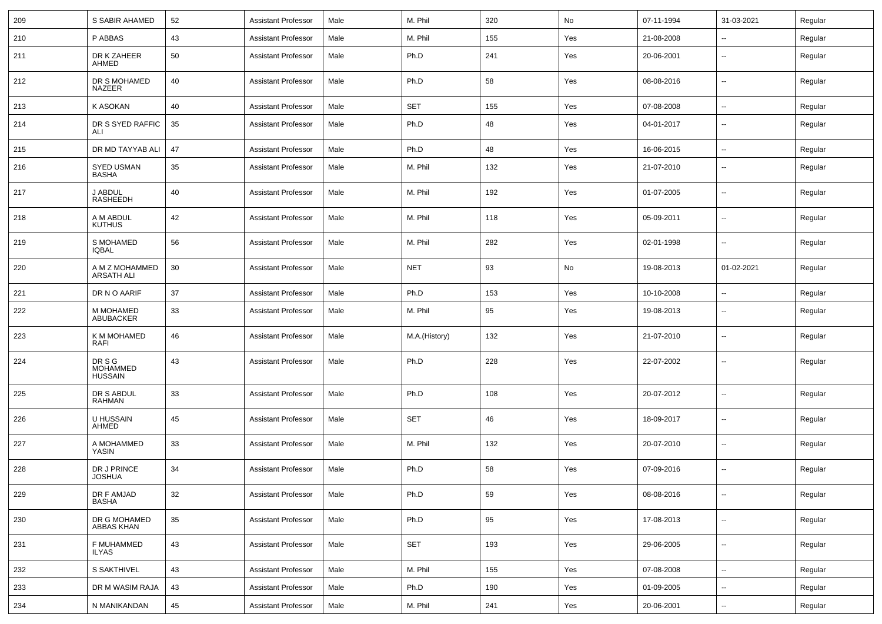| 209 | S SABIR AHAMED                              | 52 | <b>Assistant Professor</b> | Male | M. Phil       | 320 | No  | 07-11-1994 | 31-03-2021               | Regular |
|-----|---------------------------------------------|----|----------------------------|------|---------------|-----|-----|------------|--------------------------|---------|
| 210 | P ABBAS                                     | 43 | <b>Assistant Professor</b> | Male | M. Phil       | 155 | Yes | 21-08-2008 | $\overline{a}$           | Regular |
| 211 | DR K ZAHEER<br>AHMED                        | 50 | <b>Assistant Professor</b> | Male | Ph.D          | 241 | Yes | 20-06-2001 | ۰.                       | Regular |
| 212 | DR S MOHAMED<br>NAZEER                      | 40 | <b>Assistant Professor</b> | Male | Ph.D          | 58  | Yes | 08-08-2016 | $\overline{a}$           | Regular |
| 213 | K ASOKAN                                    | 40 | <b>Assistant Professor</b> | Male | <b>SET</b>    | 155 | Yes | 07-08-2008 | $\overline{a}$           | Regular |
| 214 | DR S SYED RAFFIC<br>ALI                     | 35 | <b>Assistant Professor</b> | Male | Ph.D          | 48  | Yes | 04-01-2017 | --                       | Regular |
| 215 | DR MD TAYYAB ALI                            | 47 | <b>Assistant Professor</b> | Male | Ph.D          | 48  | Yes | 16-06-2015 | $\overline{a}$           | Regular |
| 216 | SYED USMAN<br>BASHA                         | 35 | <b>Assistant Professor</b> | Male | M. Phil       | 132 | Yes | 21-07-2010 | --                       | Regular |
| 217 | J ABDUL<br>RASHEEDH                         | 40 | <b>Assistant Professor</b> | Male | M. Phil       | 192 | Yes | 01-07-2005 | --                       | Regular |
| 218 | A M ABDUL<br><b>KUTHUS</b>                  | 42 | <b>Assistant Professor</b> | Male | M. Phil       | 118 | Yes | 05-09-2011 | ۰.                       | Regular |
| 219 | S MOHAMED<br><b>IQBAL</b>                   | 56 | <b>Assistant Professor</b> | Male | M. Phil       | 282 | Yes | 02-01-1998 | --                       | Regular |
| 220 | A M Z MOHAMMED<br><b>ARSATH ALI</b>         | 30 | <b>Assistant Professor</b> | Male | <b>NET</b>    | 93  | No  | 19-08-2013 | 01-02-2021               | Regular |
| 221 | DR N O AARIF                                | 37 | <b>Assistant Professor</b> | Male | Ph.D          | 153 | Yes | 10-10-2008 | --                       | Regular |
| 222 | M MOHAMED<br><b>ABUBACKER</b>               | 33 | <b>Assistant Professor</b> | Male | M. Phil       | 95  | Yes | 19-08-2013 | $\overline{a}$           | Regular |
| 223 | K M MOHAMED<br><b>RAFI</b>                  | 46 | <b>Assistant Professor</b> | Male | M.A.(History) | 132 | Yes | 21-07-2010 | $\overline{\phantom{a}}$ | Regular |
| 224 | DR S G<br><b>MOHAMMED</b><br><b>HUSSAIN</b> | 43 | <b>Assistant Professor</b> | Male | Ph.D          | 228 | Yes | 22-07-2002 | $\overline{a}$           | Regular |
| 225 | DR S ABDUL<br><b>RAHMAN</b>                 | 33 | <b>Assistant Professor</b> | Male | Ph.D          | 108 | Yes | 20-07-2012 | --                       | Regular |
| 226 | U HUSSAIN<br>AHMED                          | 45 | <b>Assistant Professor</b> | Male | <b>SET</b>    | 46  | Yes | 18-09-2017 | ۰.                       | Regular |
| 227 | A MOHAMMED<br>YASIN                         | 33 | <b>Assistant Professor</b> | Male | M. Phil       | 132 | Yes | 20-07-2010 | --                       | Regular |
| 228 | DR J PRINCE<br><b>JOSHUA</b>                | 34 | <b>Assistant Professor</b> | Male | Ph.D          | 58  | Yes | 07-09-2016 | $\overline{a}$           | Regular |
| 229 | DR F AMJAD<br><b>BASHA</b>                  | 32 | <b>Assistant Professor</b> | Male | Ph.D          | 59  | Yes | 08-08-2016 | $\overline{a}$           | Regular |
| 230 | DR G MOHAMED<br>ABBAS KHAN                  | 35 | <b>Assistant Professor</b> | Male | Ph.D          | 95  | Yes | 17-08-2013 | $\overline{a}$           | Regular |
| 231 | F MUHAMMED<br><b>ILYAS</b>                  | 43 | <b>Assistant Professor</b> | Male | <b>SET</b>    | 193 | Yes | 29-06-2005 | $\overline{\phantom{a}}$ | Regular |
| 232 | S SAKTHIVEL                                 | 43 | <b>Assistant Professor</b> | Male | M. Phil       | 155 | Yes | 07-08-2008 | u.                       | Regular |
| 233 | DR M WASIM RAJA                             | 43 | <b>Assistant Professor</b> | Male | Ph.D          | 190 | Yes | 01-09-2005 | u.                       | Regular |
| 234 | N MANIKANDAN                                | 45 | <b>Assistant Professor</b> | Male | M. Phil       | 241 | Yes | 20-06-2001 | $\overline{\phantom{a}}$ | Regular |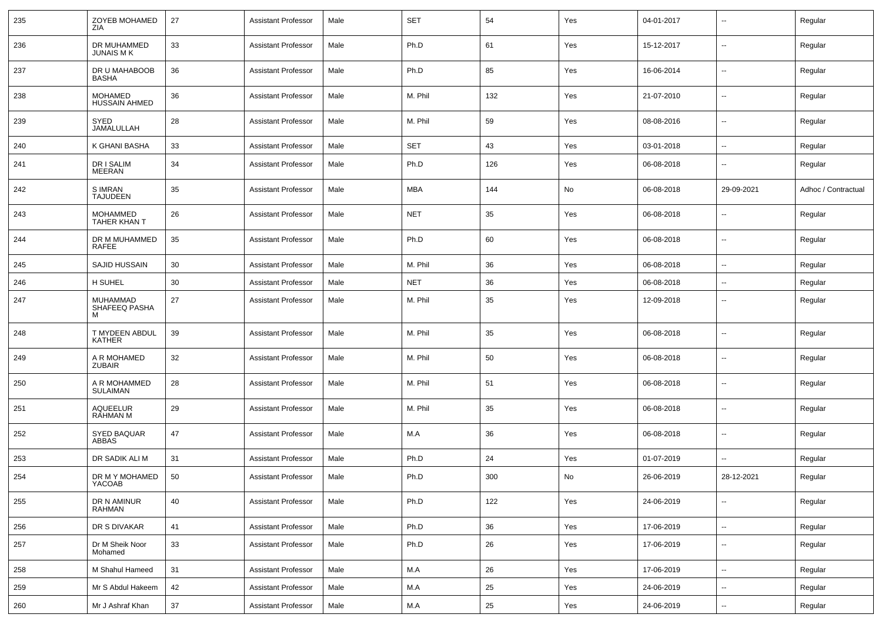| 235 | ZOYEB MOHAMED<br><b>ZIA</b>            | 27 | <b>Assistant Professor</b> | Male | <b>SET</b> | 54  | Yes | 04-01-2017 | $\overline{\phantom{a}}$ | Regular             |
|-----|----------------------------------------|----|----------------------------|------|------------|-----|-----|------------|--------------------------|---------------------|
| 236 | DR MUHAMMED<br>JUNAIS M K              | 33 | <b>Assistant Professor</b> | Male | Ph.D       | 61  | Yes | 15-12-2017 | $\sim$                   | Regular             |
| 237 | DR U MAHABOOB<br><b>BASHA</b>          | 36 | <b>Assistant Professor</b> | Male | Ph.D       | 85  | Yes | 16-06-2014 | $\sim$                   | Regular             |
| 238 | <b>MOHAMED</b><br><b>HUSSAIN AHMED</b> | 36 | <b>Assistant Professor</b> | Male | M. Phil    | 132 | Yes | 21-07-2010 | $\sim$                   | Regular             |
| 239 | SYED<br>JAMALULLAH                     | 28 | <b>Assistant Professor</b> | Male | M. Phil    | 59  | Yes | 08-08-2016 | $\sim$                   | Regular             |
| 240 | K GHANI BASHA                          | 33 | <b>Assistant Professor</b> | Male | <b>SET</b> | 43  | Yes | 03-01-2018 | $\sim$                   | Regular             |
| 241 | DR I SALIM<br>MEERAN                   | 34 | <b>Assistant Professor</b> | Male | Ph.D       | 126 | Yes | 06-08-2018 | --                       | Regular             |
| 242 | S IMRAN<br><b>TAJUDEEN</b>             | 35 | <b>Assistant Professor</b> | Male | <b>MBA</b> | 144 | No  | 06-08-2018 | 29-09-2021               | Adhoc / Contractual |
| 243 | <b>MOHAMMED</b><br>TAHER KHAN T        | 26 | <b>Assistant Professor</b> | Male | <b>NET</b> | 35  | Yes | 06-08-2018 | --                       | Regular             |
| 244 | DR M MUHAMMED<br>RAFEE                 | 35 | <b>Assistant Professor</b> | Male | Ph.D       | 60  | Yes | 06-08-2018 | --                       | Regular             |
| 245 | SAJID HUSSAIN                          | 30 | <b>Assistant Professor</b> | Male | M. Phil    | 36  | Yes | 06-08-2018 | --                       | Regular             |
| 246 | H SUHEL                                | 30 | <b>Assistant Professor</b> | Male | <b>NET</b> | 36  | Yes | 06-08-2018 | $\overline{\phantom{a}}$ | Regular             |
| 247 | MUHAMMAD<br>SHAFEEQ PASHA<br>м         | 27 | <b>Assistant Professor</b> | Male | M. Phil    | 35  | Yes | 12-09-2018 | --                       | Regular             |
| 248 | T MYDEEN ABDUL<br><b>KATHER</b>        | 39 | <b>Assistant Professor</b> | Male | M. Phil    | 35  | Yes | 06-08-2018 | $\overline{\phantom{a}}$ | Regular             |
| 249 | A R MOHAMED<br><b>ZUBAIR</b>           | 32 | <b>Assistant Professor</b> | Male | M. Phil    | 50  | Yes | 06-08-2018 | $\overline{\phantom{a}}$ | Regular             |
| 250 | A R MOHAMMED<br><b>SULAIMAN</b>        | 28 | <b>Assistant Professor</b> | Male | M. Phil    | 51  | Yes | 06-08-2018 | ⊷.                       | Regular             |
| 251 | AQUEELUR<br><b>RAHMAN M</b>            | 29 | <b>Assistant Professor</b> | Male | M. Phil    | 35  | Yes | 06-08-2018 | $\overline{\phantom{a}}$ | Regular             |
| 252 | SYED BAQUAR<br>ABBAS                   | 47 | <b>Assistant Professor</b> | Male | M.A        | 36  | Yes | 06-08-2018 | ⊷.                       | Regular             |
| 253 | DR SADIK ALI M                         | 31 | <b>Assistant Professor</b> | Male | Ph.D       | 24  | Yes | 01-07-2019 | $\overline{\phantom{a}}$ | Regular             |
| 254 | DR M Y MOHAMED<br>YACOAB               | 50 | <b>Assistant Professor</b> | Male | Ph.D       | 300 | No  | 26-06-2019 | 28-12-2021               | Regular             |
| 255 | DR N AMINUR<br>RAHMAN                  | 40 | <b>Assistant Professor</b> | Male | Ph.D       | 122 | Yes | 24-06-2019 | $\sim$                   | Regular             |
| 256 | DR S DIVAKAR                           | 41 | <b>Assistant Professor</b> | Male | Ph.D       | 36  | Yes | 17-06-2019 | Щ,                       | Regular             |
| 257 | Dr M Sheik Noor<br>Mohamed             | 33 | <b>Assistant Professor</b> | Male | Ph.D       | 26  | Yes | 17-06-2019 | $\overline{\phantom{a}}$ | Regular             |
| 258 | M Shahul Hameed                        | 31 | <b>Assistant Professor</b> | Male | M.A        | 26  | Yes | 17-06-2019 | Ξ.                       | Regular             |
| 259 | Mr S Abdul Hakeem                      | 42 | <b>Assistant Professor</b> | Male | M.A        | 25  | Yes | 24-06-2019 | $\sim$                   | Regular             |
| 260 | Mr J Ashraf Khan                       | 37 | <b>Assistant Professor</b> | Male | M.A        | 25  | Yes | 24-06-2019 | $\overline{\phantom{a}}$ | Regular             |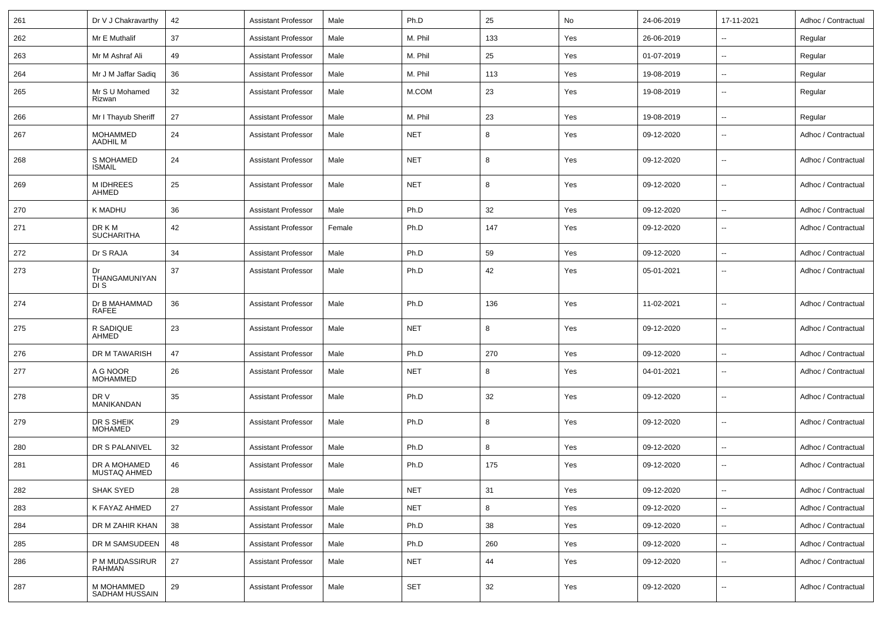| 261 | Dr V J Chakravarthy                | 42 | <b>Assistant Professor</b> | Male   | Ph.D       | 25  | No  | 24-06-2019 | 17-11-2021               | Adhoc / Contractual |
|-----|------------------------------------|----|----------------------------|--------|------------|-----|-----|------------|--------------------------|---------------------|
| 262 | Mr E Muthalif                      | 37 | <b>Assistant Professor</b> | Male   | M. Phil    | 133 | Yes | 26-06-2019 | $\overline{\phantom{a}}$ | Regular             |
| 263 | Mr M Ashraf Ali                    | 49 | <b>Assistant Professor</b> | Male   | M. Phil    | 25  | Yes | 01-07-2019 | $\overline{\phantom{a}}$ | Regular             |
| 264 | Mr J M Jaffar Sadiq                | 36 | <b>Assistant Professor</b> | Male   | M. Phil    | 113 | Yes | 19-08-2019 | $\overline{\phantom{a}}$ | Regular             |
| 265 | Mr S U Mohamed<br>Rizwan           | 32 | <b>Assistant Professor</b> | Male   | M.COM      | 23  | Yes | 19-08-2019 | $\overline{\phantom{a}}$ | Regular             |
| 266 | Mr I Thayub Sheriff                | 27 | <b>Assistant Professor</b> | Male   | M. Phil    | 23  | Yes | 19-08-2019 | $\overline{\phantom{a}}$ | Regular             |
| 267 | <b>MOHAMMED</b><br><b>AADHIL M</b> | 24 | <b>Assistant Professor</b> | Male   | NET        | 8   | Yes | 09-12-2020 | $\sim$                   | Adhoc / Contractual |
| 268 | <b>S MOHAMED</b><br><b>ISMAIL</b>  | 24 | <b>Assistant Professor</b> | Male   | <b>NET</b> | 8   | Yes | 09-12-2020 | $\overline{\phantom{a}}$ | Adhoc / Contractual |
| 269 | <b>MIDHREES</b><br><b>AHMED</b>    | 25 | <b>Assistant Professor</b> | Male   | <b>NET</b> | 8   | Yes | 09-12-2020 | $\overline{\phantom{a}}$ | Adhoc / Contractual |
| 270 | K MADHU                            | 36 | <b>Assistant Professor</b> | Male   | Ph.D       | 32  | Yes | 09-12-2020 | $\sim$                   | Adhoc / Contractual |
| 271 | DR K M<br><b>SUCHARITHA</b>        | 42 | <b>Assistant Professor</b> | Female | Ph.D       | 147 | Yes | 09-12-2020 | $\overline{\phantom{a}}$ | Adhoc / Contractual |
| 272 | Dr S RAJA                          | 34 | <b>Assistant Professor</b> | Male   | Ph.D       | 59  | Yes | 09-12-2020 | $\sim$                   | Adhoc / Contractual |
| 273 | Dr<br>THANGAMUNIYAN<br>DI S        | 37 | <b>Assistant Professor</b> | Male   | Ph.D       | 42  | Yes | 05-01-2021 | --                       | Adhoc / Contractual |
| 274 | Dr B MAHAMMAD<br>RAFEE             | 36 | <b>Assistant Professor</b> | Male   | Ph.D       | 136 | Yes | 11-02-2021 | $\overline{\phantom{a}}$ | Adhoc / Contractual |
| 275 | R SADIQUE<br>AHMED                 | 23 | <b>Assistant Professor</b> | Male   | <b>NET</b> | 8   | Yes | 09-12-2020 | $\overline{\phantom{a}}$ | Adhoc / Contractual |
| 276 | DR M TAWARISH                      | 47 | <b>Assistant Professor</b> | Male   | Ph.D       | 270 | Yes | 09-12-2020 | $\overline{\phantom{a}}$ | Adhoc / Contractual |
| 277 | A G NOOR<br><b>MOHAMMED</b>        | 26 | <b>Assistant Professor</b> | Male   | <b>NET</b> | 8   | Yes | 04-01-2021 | $\overline{\phantom{a}}$ | Adhoc / Contractual |
| 278 | DR V<br>MANIKANDAN                 | 35 | <b>Assistant Professor</b> | Male   | Ph.D       | 32  | Yes | 09-12-2020 | $\overline{\phantom{a}}$ | Adhoc / Contractual |
| 279 | DR S SHEIK<br><b>MOHAMED</b>       | 29 | <b>Assistant Professor</b> | Male   | Ph.D       | 8   | Yes | 09-12-2020 | $\overline{\phantom{a}}$ | Adhoc / Contractual |
| 280 | DR S PALANIVEL                     | 32 | <b>Assistant Professor</b> | Male   | Ph.D       | 8   | Yes | 09-12-2020 | $\overline{\phantom{a}}$ | Adhoc / Contractual |
| 281 | DR A MOHAMED<br>MUSTAQ AHMED       | 46 | <b>Assistant Professor</b> | Male   | Ph.D       | 175 | Yes | 09-12-2020 | --                       | Adhoc / Contractual |
| 282 | SHAK SYED                          | 28 | <b>Assistant Professor</b> | Male   | <b>NET</b> | 31  | Yes | 09-12-2020 | $\overline{\phantom{a}}$ | Adhoc / Contractual |
| 283 | K FAYAZ AHMED                      | 27 | <b>Assistant Professor</b> | Male   | <b>NET</b> | 8   | Yes | 09-12-2020 | $\overline{\phantom{a}}$ | Adhoc / Contractual |
| 284 | DR M ZAHIR KHAN                    | 38 | <b>Assistant Professor</b> | Male   | Ph.D       | 38  | Yes | 09-12-2020 | $\overline{\phantom{a}}$ | Adhoc / Contractual |
| 285 | DR M SAMSUDEEN                     | 48 | <b>Assistant Professor</b> | Male   | Ph.D       | 260 | Yes | 09-12-2020 | $\overline{\phantom{a}}$ | Adhoc / Contractual |
| 286 | P M MUDASSIRUR<br>RAHMAN           | 27 | <b>Assistant Professor</b> | Male   | <b>NET</b> | 44  | Yes | 09-12-2020 | $\overline{\phantom{a}}$ | Adhoc / Contractual |
| 287 | M MOHAMMED<br>SADHAM HUSSAIN       | 29 | Assistant Professor        | Male   | SET        | 32  | Yes | 09-12-2020 | $\overline{\phantom{a}}$ | Adhoc / Contractual |